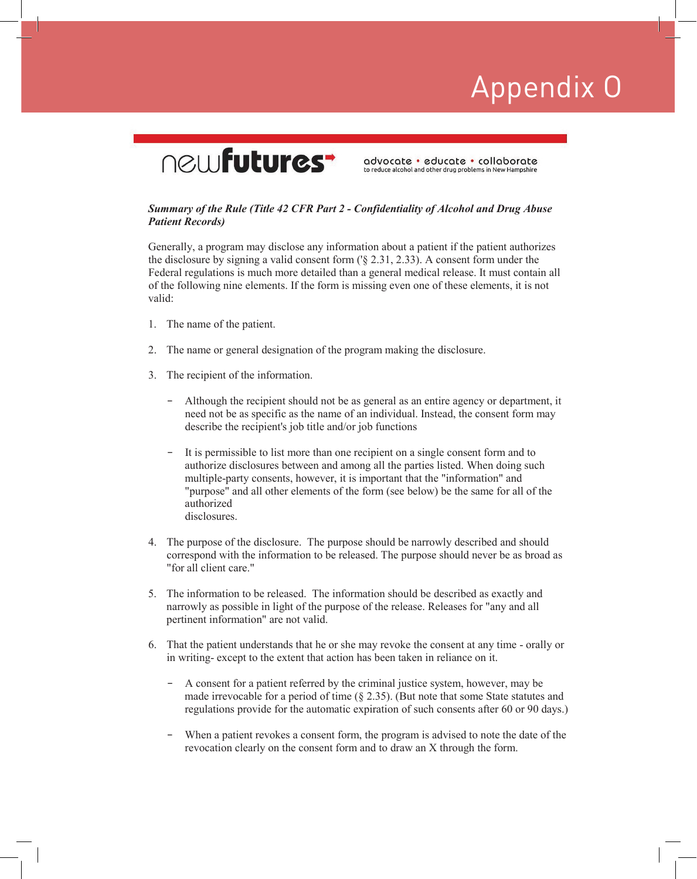### newfutures<sup>-</sup>

advocate · educate · collaborate to reduce alcohol and other drug problems in New Hampshire

#### *Summary of the Rule (Title 42 CFR Part 2 - Confidentiality of Alcohol and Drug Abuse Patient Records)*

Generally, a program may disclose any information about a patient if the patient authorizes the disclosure by signing a valid consent form ('§ 2.31, 2.33). A consent form under the Federal regulations is much more detailed than a general medical release. It must contain all of the following nine elements. If the form is missing even one of these elements, it is not valid:

- 1. The name of the patient.
- 2. The name or general designation of the program making the disclosure.
- 3. The recipient of the information.
	- Although the recipient should not be as general as an entire agency or department, it need not be as specific as the name of an individual. Instead, the consent form may describe the recipient's job title and/or job functions
	- It is permissible to list more than one recipient on a single consent form and to authorize disclosures between and among all the parties listed. When doing such multiple-party consents, however, it is important that the "information" and "purpose" and all other elements of the form (see below) be the same for all of the authorized disclosures.
- 4. The purpose of the disclosure. The purpose should be narrowly described and should correspond with the information to be released. The purpose should never be as broad as "for all client care."
- 5. The information to be released. The information should be described as exactly and narrowly as possible in light of the purpose of the release. Releases for "any and all pertinent information" are not valid.
- 6. That the patient understands that he or she may revoke the consent at any time orally or in writing- except to the extent that action has been taken in reliance on it.
	- A consent for a patient referred by the criminal justice system, however, may be made irrevocable for a period of time (§ 2.35). (But note that some State statutes and regulations provide for the automatic expiration of such consents after 60 or 90 days.)
	- When a patient revokes a consent form, the program is advised to note the date of the revocation clearly on the consent form and to draw an X through the form.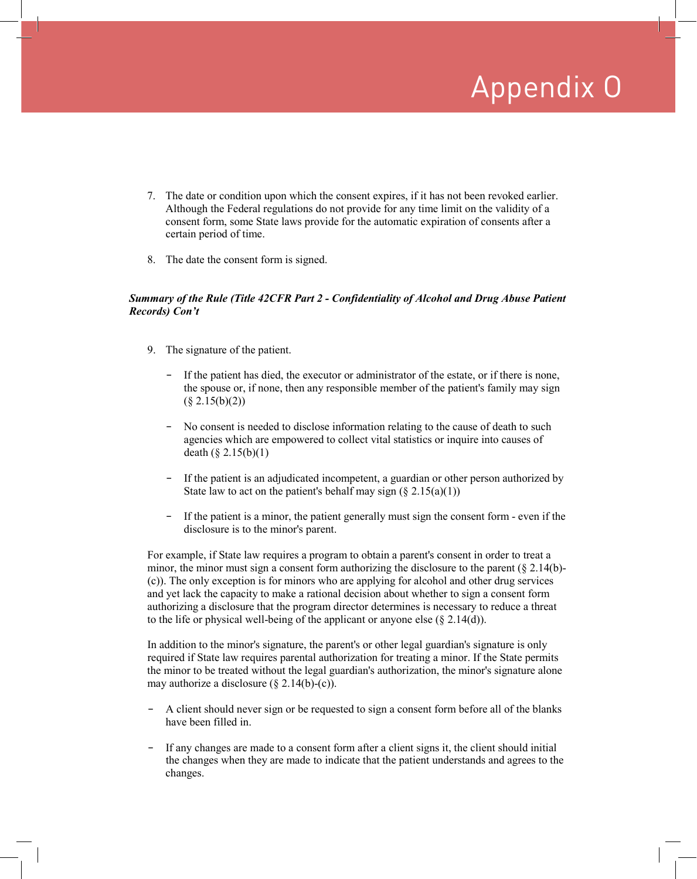- 7. The date or condition upon which the consent expires, if it has not been revoked earlier. Although the Federal regulations do not provide for any time limit on the validity of a consent form, some State laws provide for the automatic expiration of consents after a certain period of time.
- 8. The date the consent form is signed.

#### *Summary of the Rule (Title 42CFR Part 2 - Confidentiality of Alcohol and Drug Abuse Patient Records) Con't*

- 9. The signature of the patient.
	- If the patient has died, the executor or administrator of the estate, or if there is none, the spouse or, if none, then any responsible member of the patient's family may sign  $(\S$  2.15(b)(2))
	- No consent is needed to disclose information relating to the cause of death to such agencies which are empowered to collect vital statistics or inquire into causes of death  $(\S 2.15(b)(1))$
	- If the patient is an adjudicated incompetent, a guardian or other person authorized by State law to act on the patient's behalf may sign  $(\xi \ 2.15(a)(1))$
	- If the patient is a minor, the patient generally must sign the consent form even if the disclosure is to the minor's parent.

For example, if State law requires a program to obtain a parent's consent in order to treat a minor, the minor must sign a consent form authorizing the disclosure to the parent  $(\S 2.14(b)$ -(c)). The only exception is for minors who are applying for alcohol and other drug services and yet lack the capacity to make a rational decision about whether to sign a consent form authorizing a disclosure that the program director determines is necessary to reduce a threat to the life or physical well-being of the applicant or anyone else  $(\S 2.14(d))$ .

In addition to the minor's signature, the parent's or other legal guardian's signature is only required if State law requires parental authorization for treating a minor. If the State permits the minor to be treated without the legal guardian's authorization, the minor's signature alone may authorize a disclosure  $(8, 2.14(b)-(c))$ .

- A client should never sign or be requested to sign a consent form before all of the blanks have been filled in.
- If any changes are made to a consent form after a client signs it, the client should initial the changes when they are made to indicate that the patient understands and agrees to the changes.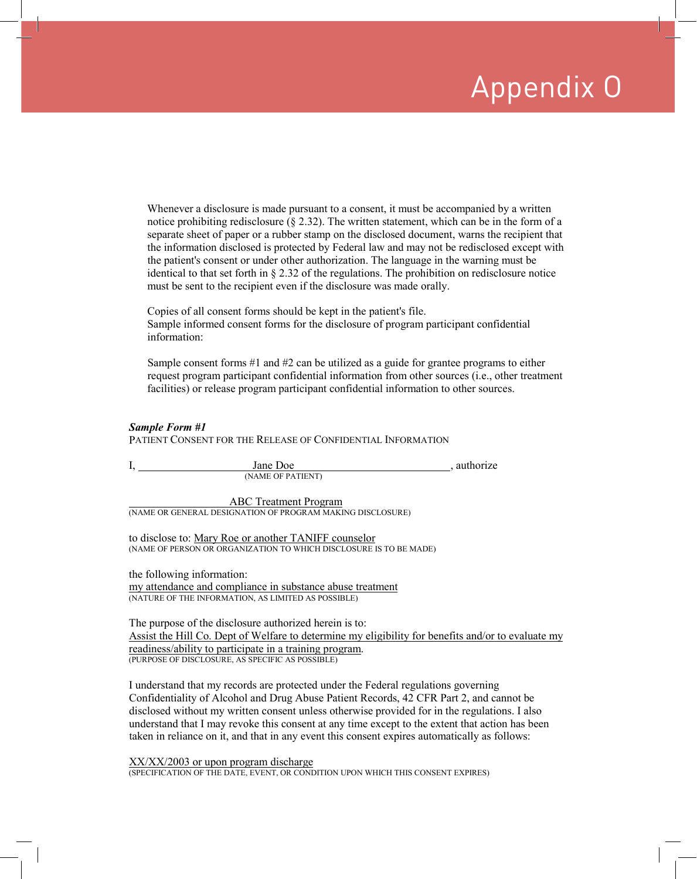Whenever a disclosure is made pursuant to a consent, it must be accompanied by a written notice prohibiting redisclosure ( $\S$  2.32). The written statement, which can be in the form of a separate sheet of paper or a rubber stamp on the disclosed document, warns the recipient that the information disclosed is protected by Federal law and may not be redisclosed except with the patient's consent or under other authorization. The language in the warning must be identical to that set forth in  $\S 2.32$  of the regulations. The prohibition on redisclosure notice must be sent to the recipient even if the disclosure was made orally.

Copies of all consent forms should be kept in the patient's file. Sample informed consent forms for the disclosure of program participant confidential information:

Sample consent forms  $#1$  and  $#2$  can be utilized as a guide for grantee programs to either request program participant confidential information from other sources (i.e., other treatment facilities) or release program participant confidential information to other sources.

#### *Sample Form #1*

PATIENT CONSENT FOR THE RELEASE OF CONFIDENTIAL INFORMATION

| Jane Doe                     | authorize |
|------------------------------|-----------|
| (NAME OF PATIENT)            |           |
| <b>ABC</b> Treatment Program |           |

(NAME OR GENERAL DESIGNATION OF PROGRAM MAKING DISCLOSURE)

to disclose to: Mary Roe or another TANIFF counselor (NAME OF PERSON OR ORGANIZATION TO WHICH DISCLOSURE IS TO BE MADE)

the following information: my attendance and compliance in substance abuse treatment (NATURE OF THE INFORMATION, AS LIMITED AS POSSIBLE)

The purpose of the disclosure authorized herein is to: Assist the Hill Co. Dept of Welfare to determine my eligibility for benefits and/or to evaluate my readiness/ability to participate in a training program. (PURPOSE OF DISCLOSURE, AS SPECIFIC AS POSSIBLE)

I understand that my records are protected under the Federal regulations governing Confidentiality of Alcohol and Drug Abuse Patient Records, 42 CFR Part 2, and cannot be disclosed without my written consent unless otherwise provided for in the regulations. I also understand that I may revoke this consent at any time except to the extent that action has been taken in reliance on it, and that in any event this consent expires automatically as follows:

XX/XX/2003 or upon program discharge (SPECIFICATION OF THE DATE, EVENT, OR CONDITION UPON WHICH THIS CONSENT EXPIRES)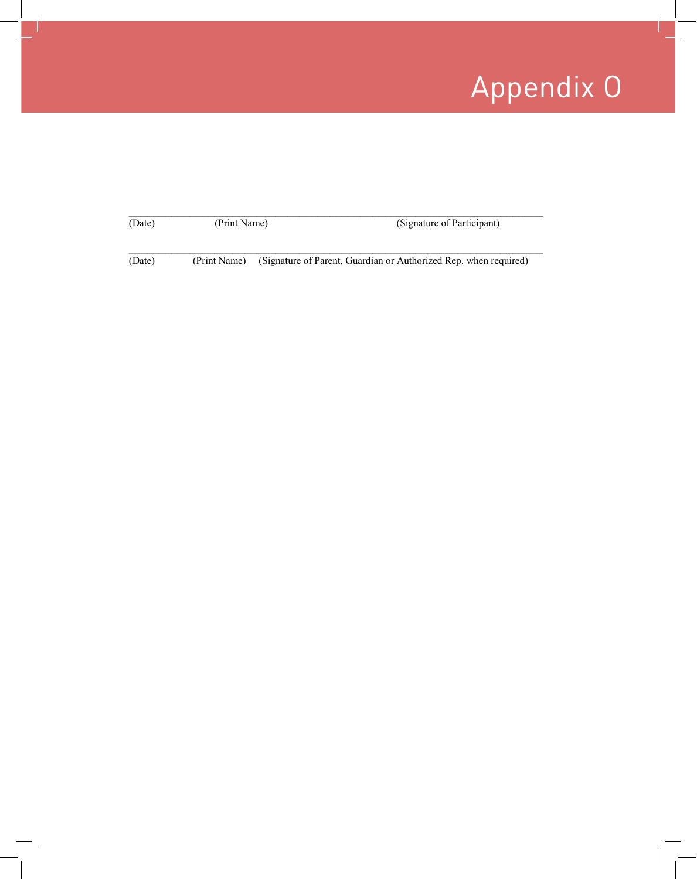| (Date) | (Print Name) | (Signature of Participant)                                       |
|--------|--------------|------------------------------------------------------------------|
| (Date) | (Print Name) | (Signature of Parent, Guardian or Authorized Rep. when required) |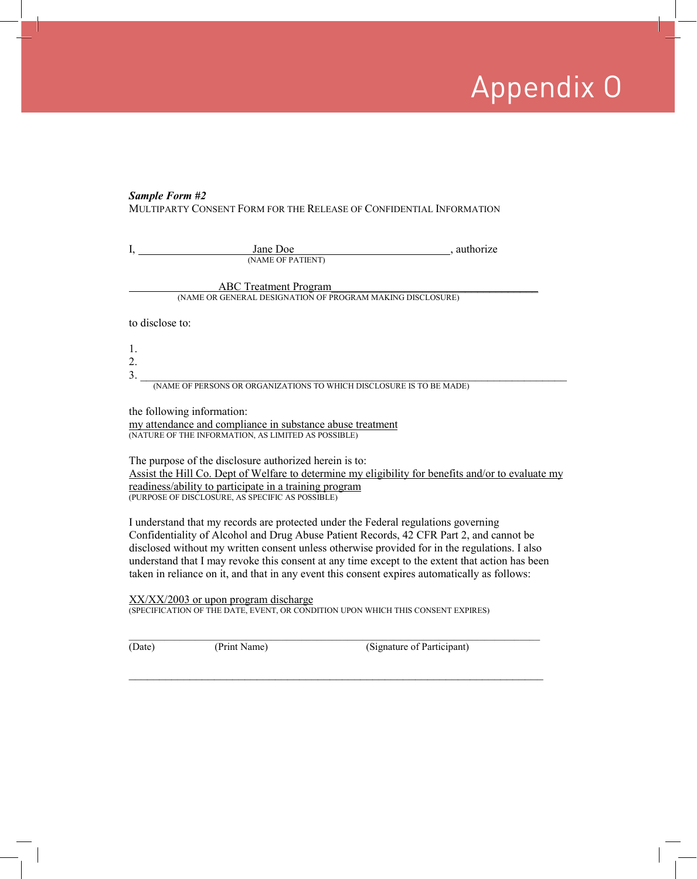#### *Sample Form #2*

MULTIPARTY CONSENT FORM FOR THE RELEASE OF CONFIDENTIAL INFORMATION

|    | Jane Doe                                                             | , authorize |
|----|----------------------------------------------------------------------|-------------|
|    | (NAME OF PATIENT)                                                    |             |
|    |                                                                      |             |
|    | <b>ABC</b> Treatment Program                                         |             |
|    | (NAME OR GENERAL DESIGNATION OF PROGRAM MAKING DISCLOSURE)           |             |
|    | to disclose to:                                                      |             |
| 1. |                                                                      |             |
| 2. |                                                                      |             |
| 3. |                                                                      |             |
|    | (NAME OF PERSONS OR ORGANIZATIONS TO WHICH DISCLOSURE IS TO BE MADE) |             |
|    | the following information:                                           |             |

the following information:

my attendance and compliance in substance abuse treatment (NATURE OF THE INFORMATION, AS LIMITED AS POSSIBLE)

The purpose of the disclosure authorized herein is to: Assist the Hill Co. Dept of Welfare to determine my eligibility for benefits and/or to evaluate my readiness/ability to participate in a training program (PURPOSE OF DISCLOSURE, AS SPECIFIC AS POSSIBLE)

I understand that my records are protected under the Federal regulations governing Confidentiality of Alcohol and Drug Abuse Patient Records, 42 CFR Part 2, and cannot be disclosed without my written consent unless otherwise provided for in the regulations. I also understand that I may revoke this consent at any time except to the extent that action has been taken in reliance on it, and that in any event this consent expires automatically as follows:

 $\_$  , and the set of the set of the set of the set of the set of the set of the set of the set of the set of the set of the set of the set of the set of the set of the set of the set of the set of the set of the set of th

XX/XX/2003 or upon program discharge (SPECIFICATION OF THE DATE, EVENT, OR CONDITION UPON WHICH THIS CONSENT EXPIRES)

\_\_\_\_\_\_\_\_\_\_\_\_\_\_\_\_\_\_\_\_\_\_\_\_\_\_\_\_\_\_\_\_\_\_\_\_\_\_\_\_\_\_\_\_\_\_\_\_\_\_\_\_\_\_\_\_\_\_\_\_\_\_\_\_\_\_\_\_\_\_\_\_\_\_\_\_\_\_\_\_\_ (Date) (Print Name) (Signature of Participant)